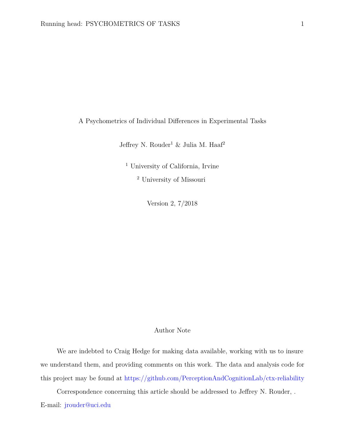<span id="page-0-0"></span>A Psychometrics of Individual Differences in Experimental Tasks

Jeffrey N. Rouder<sup>1</sup> & Julia M. Haaf<sup>2</sup>

<sup>1</sup> University of California, Irvine

<sup>2</sup> University of Missouri

Version 2, 7/2018

## Author Note

We are indebted to Craig Hedge for making data available, working with us to insure we understand them, and providing comments on this work. The data and analysis code for this project may be found at <https://github.com/PerceptionAndCognitionLab/ctx-reliability>

Correspondence concerning this article should be addressed to Jeffrey N. Rouder, . E-mail: [jrouder@uci.edu](mailto:jrouder@uci.edu)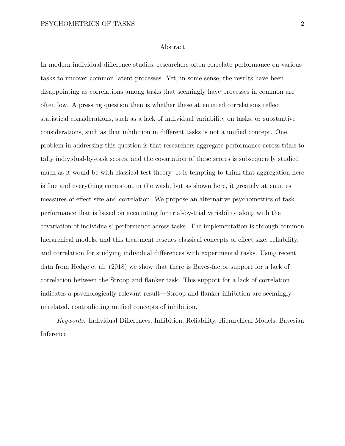# Abstract

In modern individual-difference studies, researchers often correlate performance on various tasks to uncover common latent processes. Yet, in some sense, the results have been disappointing as correlations among tasks that seemingly have processes in common are often low. A pressing question then is whether these attenuated correlations reflect statistical considerations, such as a lack of individual variability on tasks, or substantive considerations, such as that inhibition in different tasks is not a unified concept. One problem in addressing this question is that researchers aggregate performance across trials to tally individual-by-task scores, and the covariation of these scores is subsequently studied much as it would be with classical test theory. It is tempting to think that aggregation here is fine and everything comes out in the wash, but as shown here, it greately attenuates measures of effect size and correlation. We propose an alternative psychometrics of task performance that is based on accounting for trial-by-trial variability along with the covariation of individuals' performance across tasks. The implementation is through common hierarchical models, and this treatment rescues classical concepts of effect size, reliability, and correlation for studying individual differences with experimental tasks. Using recent data from Hedge et al. (2018) we show that there is Bayes-factor support for a lack of correlation between the Stroop and flanker task. This support for a lack of correlation indicates a psychologically relevant result—Stroop and flanker inhibition are seemingly unrelated, contradicting unified concepts of inhibition.

*Keywords:* Individual Differences, Inhibition, Reliability, Hierarchical Models, Bayesian Inference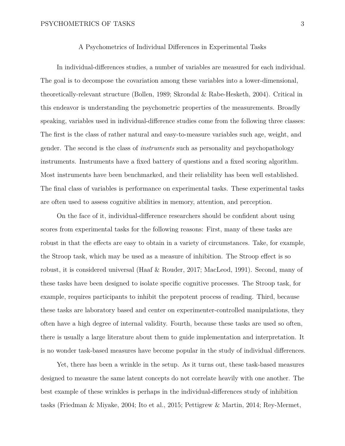#### A Psychometrics of Individual Differences in Experimental Tasks

In individual-differences studies, a number of variables are measured for each individual. The goal is to decompose the covariation among these variables into a lower-dimensional, theoretically-relevant structure (Bollen, 1989; Skrondal & Rabe-Hesketh, 2004). Critical in this endeavor is understanding the psychometric properties of the measurements. Broadly speaking, variables used in individual-difference studies come from the following three classes: The first is the class of rather natural and easy-to-measure variables such age, weight, and gender. The second is the class of *instruments* such as personality and psychopathology instruments. Instruments have a fixed battery of questions and a fixed scoring algorithm. Most instruments have been benchmarked, and their reliability has been well established. The final class of variables is performance on experimental tasks. These experimental tasks are often used to assess cognitive abilities in memory, attention, and perception.

On the face of it, individual-difference researchers should be confident about using scores from experimental tasks for the following reasons: First, many of these tasks are robust in that the effects are easy to obtain in a variety of circumstances. Take, for example, the Stroop task, which may be used as a measure of inhibition. The Stroop effect is so robust, it is considered universal (Haaf & Rouder, 2017; MacLeod, 1991). Second, many of these tasks have been designed to isolate specific cognitive processes. The Stroop task, for example, requires participants to inhibit the prepotent process of reading. Third, because these tasks are laboratory based and center on experimenter-controlled manipulations, they often have a high degree of internal validity. Fourth, because these tasks are used so often, there is usually a large literature about them to guide implementation and interpretation. It is no wonder task-based measures have become popular in the study of individual differences.

Yet, there has been a wrinkle in the setup. As it turns out, these task-based measures designed to measure the same latent concepts do not correlate heavily with one another. The best example of these wrinkles is perhaps in the individual-differences study of inhibition tasks (Friedman & Miyake, 2004; Ito et al., 2015; Pettigrew & Martin, 2014; Rey-Mermet,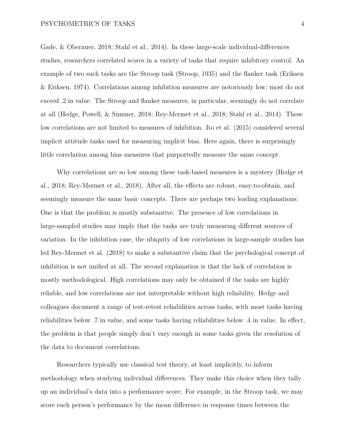Gade, & Oberauer, 2018; Stahl et al., 2014). In these large-scale individual-differences studies, researchers correlated scores in a variety of tasks that require inhibitory control. An example of two such tasks are the Stroop task (Stroop, 1935) and the flanker task (Eriksen & Eriksen, 1974). Correlations among inhibition measures are notoriously low; most do not exceed .2 in value. The Stroop and flanker measures, in particular, seemingly do not correlate at all (Hedge, Powell, & Sumner, 2018; Rey-Mermet et al., 2018; Stahl et al., 2014). These low correlations are not limited to measures of inhibition. Ito et al. (2015) considered several implicit attitude tasks used for measuring implicit bias. Here again, there is surprisingly little correlation among bias measures that purportedly measure the same concept.

Why correlations are so low among these task-based measures is a mystery (Hedge et al., 2018; Rey-Mermet et al., 2018). After all, the effects are robust, easy-to-obtain, and seemingly measure the same basic concepts. There are perhaps two leading explanations: One is that the problem is mostly substantive. The presence of low correlations in large-sampled studies may imply that the tasks are truly measuring different sources of variation. In the inhibition case, the ubiquity of low correlations in large-sample studies has led Rey-Mermet et al. (2018) to make a substantive claim that the psychological concept of inhibition is not unified at all. The second explanation is that the lack of correlation is mostly methodological. High correlations may only be obtained if the tasks are highly reliable, and low correlations are not interpretable without high reliability. Hedge and colleagues document a range of test-retest reliabilities across tasks, with most tasks having reliabilities below .7 in value, and some tasks having reliabilities below .4 in value. In effect, the problem is that people simply don't vary enough in some tasks given the resolution of the data to document correlations.

Researchers typically use classical test theory, at least implicitly, to inform methodology when studying individual differences. They make this choice when they tally up an individual's data into a performance score. For example, in the Stroop task, we may score each person's performance by the mean difference in response times between the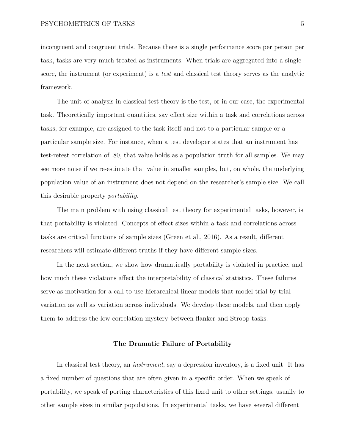incongruent and congruent trials. Because there is a single performance score per person per task, tasks are very much treated as instruments. When trials are aggregated into a single score, the instrument (or experiment) is a *test* and classical test theory serves as the analytic framework.

The unit of analysis in classical test theory is the test, or in our case, the experimental task. Theoretically important quantities, say effect size within a task and correlations across tasks, for example, are assigned to the task itself and not to a particular sample or a particular sample size. For instance, when a test developer states that an instrument has test-retest correlation of .80, that value holds as a population truth for all samples. We may see more noise if we re-estimate that value in smaller samples, but, on whole, the underlying population value of an instrument does not depend on the researcher's sample size. We call this desirable property *portability.*

The main problem with using classical test theory for experimental tasks, however, is that portability is violated. Concepts of effect sizes within a task and correlations across tasks are critical functions of sample sizes (Green et al., 2016). As a result, different researchers will estimate different truths if they have different sample sizes.

In the next section, we show how dramatically portability is violated in practice, and how much these violations affect the interpretability of classical statistics. These failures serve as motivation for a call to use hierarchical linear models that model trial-by-trial variation as well as variation across individuals. We develop these models, and then apply them to address the low-correlation mystery between flanker and Stroop tasks.

#### **The Dramatic Failure of Portability**

In classical test theory, an *instrument*, say a depression inventory, is a fixed unit. It has a fixed number of questions that are often given in a specific order. When we speak of portability, we speak of porting characteristics of this fixed unit to other settings, usually to other sample sizes in similar populations. In experimental tasks, we have several different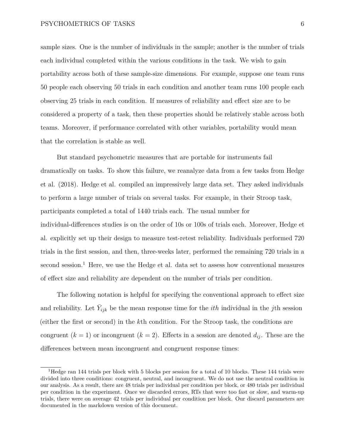sample sizes. One is the number of individuals in the sample; another is the number of trials each individual completed within the various conditions in the task. We wish to gain portability across both of these sample-size dimensions. For example, suppose one team runs 50 people each observing 50 trials in each condition and another team runs 100 people each observing 25 trials in each condition. If measures of reliability and effect size are to be considered a property of a task, then these properties should be relatively stable across both teams. Moreover, if performance correlated with other variables, portability would mean that the correlation is stable as well.

But standard psychometric measures that are portable for instruments fail dramatically on tasks. To show this failure, we reanalyze data from a few tasks from Hedge et al. (2018). Hedge et al. compiled an impressively large data set. They asked individuals to perform a large number of trials on several tasks. For example, in their Stroop task, participants completed a total of 1440 trials each. The usual number for individual-differences studies is on the order of 10s or 100s of trials each. Moreover, Hedge et al. explicitly set up their design to measure test-retest reliability. Individuals performed 720 trials in the first session, and then, three-weeks later, performed the remaining 720 trials in a second session.<sup>[1](#page-0-0)</sup> Here, we use the Hedge et al. data set to assess how conventional measures of effect size and reliability are dependent on the number of trials per condition.

The following notation is helpful for specifying the conventional approach to effect size and reliability. Let  $\bar{Y}_{ijk}$  be the mean response time for the *ith* individual in the *j*th session (either the first or second) in the *k*th condition. For the Stroop task, the conditions are congruent  $(k = 1)$  or incongruent  $(k = 2)$ . Effects in a session are denoted  $d_{ij}$ . These are the differences between mean incongruent and congruent response times:

<sup>1</sup>Hedge ran 144 trials per block with 5 blocks per session for a total of 10 blocks. These 144 trials were divided into three conditions: congruent, neutral, and incongruent. We do not use the neutral condition in our analysis. As a result, there are 48 trials per individual per condition per block, or 480 trials per individual per condition in the experiment. Once we discarded errors, RTs that were too fast or slow, and warm-up trials, there were on average 42 trials per individual per condition per block. Our discard parameters are documented in the markdown version of this document.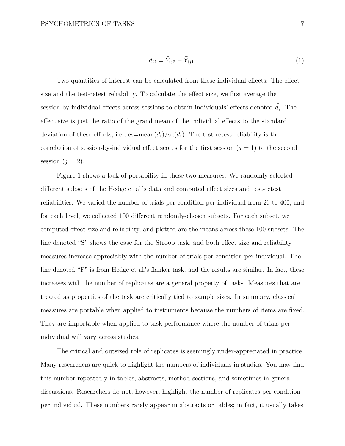$$
d_{ij} = \bar{Y}_{ij2} - \bar{Y}_{ij1}.\tag{1}
$$

Two quantities of interest can be calculated from these individual effects: The effect size and the test-retest reliability. To calculate the effect size, we first average the session-by-individual effects across sessions to obtain individuals' effects denoted  $\bar{d}_i$ . The effect size is just the ratio of the grand mean of the individual effects to the standard deviation of these effects, i.e.,  $es=mean(\bar{d}_i)/sd(\bar{d}_i)$ . The test-retest reliability is the correlation of session-by-individual effect scores for the first session  $(j = 1)$  to the second session  $(j = 2)$ .

Figure [1](#page-36-0) shows a lack of portability in these two measures. We randomly selected different subsets of the Hedge et al.'s data and computed effect sizes and test-retest reliabilities. We varied the number of trials per condition per individual from 20 to 400, and for each level, we collected 100 different randomly-chosen subsets. For each subset, we computed effect size and reliability, and plotted are the means across these 100 subsets. The line denoted "S" shows the case for the Stroop task, and both effect size and reliability measures increase appreciably with the number of trials per condition per individual. The line denoted "F" is from Hedge et al.'s flanker task, and the results are similar. In fact, these increases with the number of replicates are a general property of tasks. Measures that are treated as properties of the task are critically tied to sample sizes. In summary, classical measures are portable when applied to instruments because the numbers of items are fixed. They are importable when applied to task performance where the number of trials per individual will vary across studies.

The critical and outsized role of replicates is seemingly under-appreciated in practice. Many researchers are quick to highlight the numbers of individuals in studies. You may find this number repeatedly in tables, abstracts, method sections, and sometimes in general discussions. Researchers do not, however, highlight the number of replicates per condition per individual. These numbers rarely appear in abstracts or tables; in fact, it usually takes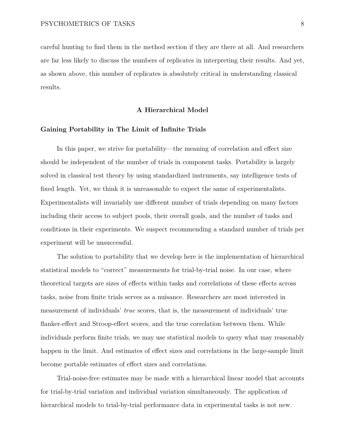careful hunting to find them in the method section if they are there at all. And researchers are far less likely to discuss the numbers of replicates in interpreting their results. And yet, as shown above, this number of replicates is absolutely critical in understanding classical results.

#### **A Hierarchical Model**

### **Gaining Portability in The Limit of Infinite Trials**

In this paper, we strive for portability—the meaning of correlation and effect size should be independent of the number of trials in component tasks. Portability is largely solved in classical test theory by using standardized instruments, say intelligence tests of fixed length. Yet, we think it is unreasonable to expect the same of experimentalists. Experimentalists will invariably use different number of trials depending on many factors including their access to subject pools, their overall goals, and the number of tasks and conditions in their experiments. We suspect recommending a standard number of trials per experiment will be unsuccessful.

The solution to portability that we develop here is the implementation of hierarchical statistical models to "correct" measurements for trial-by-trial noise. In our case, where theoretical targets are sizes of effects within tasks and correlations of these effects across tasks, noise from finite trials serves as a nuisance. Researchers are most interested in measurement of individuals' *true* scores, that is, the measurement of individuals' true flanker-effect and Stroop-effect scores, and the true correlation between them. While individuals perform finite trials, we may use statistical models to query what may reasonably happen in the limit. And estimates of effect sizes and correlations in the large-sample limit become portable estimates of effect sizes and correlations.

Trial-noise-free estimates may be made with a hierarchical linear model that accounts for trial-by-trial variation and individual variation simultaneously. The application of hierarchical models to trial-by-trial performance data in experimental tasks is not new.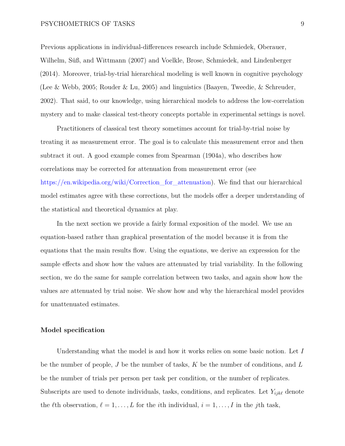Previous applications in individual-differences research include Schmiedek, Oberauer, Wilhelm, Süß, and Wittmann (2007) and Voelkle, Brose, Schmiedek, and Lindenberger (2014). Moreover, trial-by-trial hierarchical modeling is well known in cognitive psychology (Lee & Webb, 2005; Rouder & Lu, 2005) and linguistics (Baayen, Tweedie, & Schreuder, 2002). That said, to our knowledge, using hierarchical models to address the low-correlation mystery and to make classical test-theory concepts portable in experimental settings is novel.

Practitioners of classical test theory sometimes account for trial-by-trial noise by treating it as measurement error. The goal is to calculate this measurement error and then subtract it out. A good example comes from Spearman (1904a), who describes how correlations may be corrected for attenuation from measurement error (see https://en.wikipedia.org/wiki/Correction for attenuation). We find that our hierarchical model estimates agree with these corrections, but the models offer a deeper understanding of the statistical and theoretical dynamics at play.

In the next section we provide a fairly formal exposition of the model. We use an equation-based rather than graphical presentation of the model because it is from the equations that the main results flow. Using the equations, we derive an expression for the sample effects and show how the values are attenuated by trial variability. In the following section, we do the same for sample correlation between two tasks, and again show how the values are attenuated by trial noise. We show how and why the hierarchical model provides for unattenuated estimates.

### **Model specification**

Understanding what the model is and how it works relies on some basic notion. Let *I* be the number of people, *J* be the number of tasks, *K* be the number of conditions, and *L* be the number of trials per person per task per condition, or the number of replicates. Subscripts are used to denote individuals, tasks, conditions, and replicates. Let  $Y_{ijk\ell}$  denote the  $\ell$ th observation,  $\ell = 1, \ldots, L$  for the *i*th individual,  $i = 1, \ldots, I$  in the *j*th task,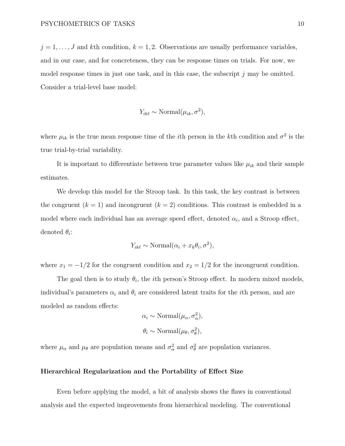$j = 1, \ldots, J$  and kth condition,  $k = 1, 2$ . Observations are usually performance variables, and in our case, and for concreteness, they can be response times on trials. For now, we model response times in just one task, and in this case, the subscript *j* may be omitted. Consider a trial-level base model:

$$
Y_{ik\ell} \sim \text{Normal}(\mu_{ik}, \sigma^2),
$$

where  $\mu_{ik}$  is the true mean response time of the *i*th person in the *k*th condition and  $\sigma^2$  is the true trial-by-trial variability.

It is important to differentiate between true parameter values like  $\mu_{ik}$  and their sample estimates.

We develop this model for the Stroop task. In this task, the key contrast is between the congruent  $(k = 1)$  and incongruent  $(k = 2)$  conditions. This contrast is embedded in a model where each individual has an average speed effect, denoted  $\alpha_i$ , and a Stroop effect, denoted *θ<sup>i</sup>* :

$$
Y_{ik\ell} \sim \text{Normal}(\alpha_i + x_k \theta_i, \sigma^2),
$$

where  $x_1 = -1/2$  for the congruent condition and  $x_2 = 1/2$  for the incongruent condition.

The goal then is to study  $\theta_i$ , the *i*th person's Stroop effect. In modern mixed models, individual's parameters  $\alpha_i$  and  $\theta_i$  are considered latent traits for the *i*th person, and are modeled as random effects:

$$
\alpha_i \sim \text{Normal}(\mu_\alpha, \sigma_\alpha^2),
$$
  
\n $\theta_i \sim \text{Normal}(\mu_\theta, \sigma_\theta^2),$ 

where  $\mu_{\alpha}$  and  $\mu_{\theta}$  are population means and  $\sigma_{\alpha}^2$  and  $\sigma_{\theta}^2$  are population variances.

## **Hierarchical Regularization and the Portability of Effect Size**

Even before applying the model, a bit of analysis shows the flaws in conventional analysis and the expected improvements from hierarchical modeling. The conventional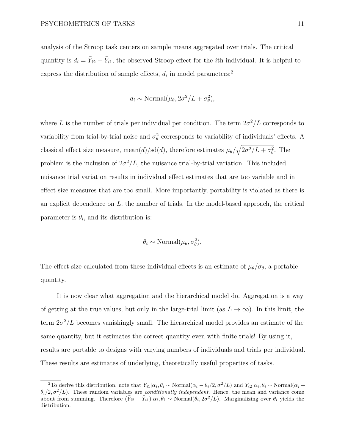analysis of the Stroop task centers on sample means aggregated over trials. The critical quantity is  $d_i = \bar{Y}_{i2} - \bar{Y}_{i1}$ , the observed Stroop effect for the *i*th individual. It is helpful to express the distribution of sample effects,  $d_i$  in model parameters:<sup>[2](#page-0-0)</sup>

$$
d_i \sim \text{Normal}(\mu_\theta, 2\sigma^2/L + \sigma_\theta^2),
$$

where *L* is the number of trials per individual per condition. The term  $2\sigma^2/L$  corresponds to variability from trial-by-trial noise and  $\sigma_{\theta}^2$  corresponds to variability of individuals' effects. A classical effect size measure, mean(*d*)/sd(*d*), therefore estimates  $\mu_{\theta}/\sqrt{2\sigma^2/L + \sigma_{\theta}^2}$ . The problem is the inclusion of  $2\sigma^2/L$ , the nuisance trial-by-trial variation. This included nuisance trial variation results in individual effect estimates that are too variable and in effect size measures that are too small. More importantly, portability is violated as there is an explicit dependence on *L*, the number of trials. In the model-based approach, the critical parameter is  $\theta_i$ , and its distribution is:

$$
\theta_i \sim \text{Normal}(\mu_\theta, \sigma_\theta^2),
$$

The effect size calculated from these individual effects is an estimate of  $\mu_{\theta}/\sigma_{\theta}$ , a portable quantity.

It is now clear what aggregation and the hierarchical model do. Aggregation is a way of getting at the true values, but only in the large-trial limit (as  $L \to \infty$ ). In this limit, the term  $2\sigma^2/L$  becomes vanishingly small. The hierarchical model provides an estimate of the same quantity, but it estimates the correct quantity even with finite trials! By using it, results are portable to designs with varying numbers of individuals and trials per individual. These results are estimates of underlying, theoretically useful properties of tasks.

<sup>&</sup>lt;sup>2</sup>To derive this distribution, note that  $\bar{Y}_{i1}|\alpha_i, \theta_i \sim \text{Normal}(\alpha_i - \theta_i/2, \sigma^2/L)$  and  $\bar{Y}_{i2}|\alpha_i, \theta_i \sim \text{Normal}(\alpha_i +$  $\theta_i/2, \sigma^2/L$ ). These random variables are *conditionally independent*. Hence, the mean and variance come about from summing. Therefore  $(\bar{Y}_{i2} - \bar{Y}_{i1})|\alpha_i, \theta_i \sim \text{Normal}(\theta_i, 2\sigma^2/L)$ . Marginalizing over  $\theta_i$  yields the distribution.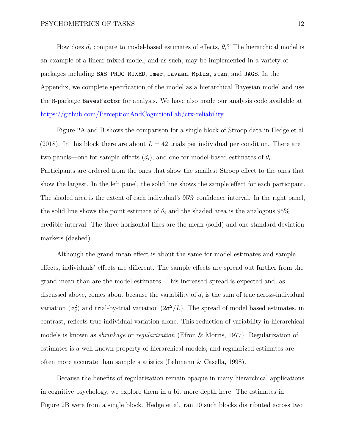How does  $d_i$  compare to model-based estimates of effects,  $\theta_i$ ? The hierarchical model is an example of a linear mixed model, and as such, may be implemented in a variety of packages including SAS PROC MIXED, lmer, lavaan, Mplus, stan, and JAGS. In the Appendix, we complete specification of the model as a hierarchical Bayesian model and use the R-package BayesFactor for analysis. We have also made our analysis code available at [https://github.com/PerceptionAndCognitionLab/ctx-reliability.](https://github.com/PerceptionAndCognitionLab/ctx-reliability)

Figure [2A](#page-37-0) and B shows the comparison for a single block of Stroop data in Hedge et al. (2018). In this block there are about  $L = 42$  trials per individual per condition. There are two panels—one for sample effects  $(d_i)$ , and one for model-based estimates of  $\theta_i$ . Participants are ordered from the ones that show the smallest Stroop effect to the ones that show the largest. In the left panel, the solid line shows the sample effect for each participant. The shaded area is the extent of each individual's 95% confidence interval. In the right panel, the solid line shows the point estimate of  $\theta_i$  and the shaded area is the analogous  $95\%$ credible interval. The three horizontal lines are the mean (solid) and one standard deviation markers (dashed).

Although the grand mean effect is about the same for model estimates and sample effects, individuals' effects are different. The sample effects are spread out further from the grand mean than are the model estimates. This increased spread is expected and, as discussed above, comes about because the variability of  $d_i$  is the sum of true across-individual variation  $(\sigma_{\theta}^2)$  and trial-by-trial variation  $(2\sigma^2/L)$ . The spread of model based estimates, in contrast, reflects true individual variation alone. This reduction of variability in hierarchical models is known as *shrinkage* or *regularization* (Efron & Morris, 1977). Regularization of estimates is a well-known property of hierarchical models, and regularized estimates are often more accurate than sample statistics (Lehmann & Casella, 1998).

Because the benefits of regularization remain opaque in many hierarchical applications in cognitive psychology, we explore them in a bit more depth here. The estimates in Figure [2B](#page-37-0) were from a single block. Hedge et al. ran 10 such blocks distributed across two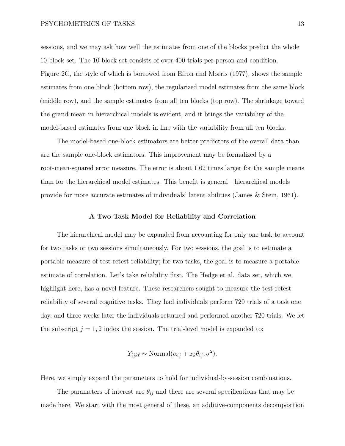sessions, and we may ask how well the estimates from one of the blocks predict the whole 10-block set. The 10-block set consists of over 400 trials per person and condition. Figure [2C](#page-37-0), the style of which is borrowed from Efron and Morris (1977), shows the sample estimates from one block (bottom row), the regularized model estimates from the same block (middle row), and the sample estimates from all ten blocks (top row). The shrinkage toward the grand mean in hierarchical models is evident, and it brings the variability of the model-based estimates from one block in line with the variability from all ten blocks.

The model-based one-block estimators are better predictors of the overall data than are the sample one-block estimators. This improvement may be formalized by a root-mean-squared error measure. The error is about 1.62 times larger for the sample means than for the hierarchical model estimates. This benefit is general—hierarchical models provide for more accurate estimates of individuals' latent abilities (James & Stein, 1961).

#### **A Two-Task Model for Reliability and Correlation**

The hierarchical model may be expanded from accounting for only one task to account for two tasks or two sessions simultaneously. For two sessions, the goal is to estimate a portable measure of test-retest reliability; for two tasks, the goal is to measure a portable estimate of correlation. Let's take reliability first. The Hedge et al. data set, which we highlight here, has a novel feature. These researchers sought to measure the test-retest reliability of several cognitive tasks. They had individuals perform 720 trials of a task one day, and three weeks later the individuals returned and performed another 720 trials. We let the subscript  $j = 1, 2$  index the session. The trial-level model is expanded to:

$$
Y_{ijk\ell} \sim \text{Normal}(\alpha_{ij} + x_k \theta_{ij}, \sigma^2).
$$

Here, we simply expand the parameters to hold for individual-by-session combinations.

The parameters of interest are  $\theta_{ij}$  and there are several specifications that may be made here. We start with the most general of these, an additive-components decomposition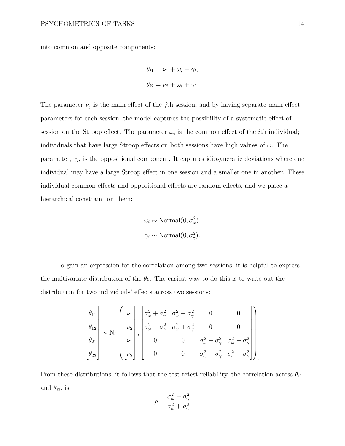into common and opposite components:

$$
\theta_{i1} = \nu_1 + \omega_i - \gamma_i,
$$
  

$$
\theta_{i2} = \nu_2 + \omega_i + \gamma_i.
$$

The parameter  $\nu_j$  is the main effect of the *j*th session, and by having separate main effect parameters for each session, the model captures the possibility of a systematic effect of session on the Stroop effect. The parameter  $\omega_i$  is the common effect of the *i*th individual; individuals that have large Stroop effects on both sessions have high values of *ω*. The parameter,  $\gamma_i$ , is the oppositional component. It captures idiosyncratic deviations where one individual may have a large Stroop effect in one session and a smaller one in another. These individual common effects and oppositional effects are random effects, and we place a hierarchical constraint on them:

$$
\omega_i \sim \text{Normal}(0, \sigma_{\omega}^2),
$$
  
\n $\gamma_i \sim \text{Normal}(0, \sigma_{\gamma}^2).$ 

To gain an expression for the correlation among two sessions, it is helpful to express the multivariate distribution of the *θ*s. The easiest way to do this is to write out the distribution for two individuals' effects across two sessions:

$$
\begin{bmatrix} \theta_{11} \\ \theta_{12} \\ \theta_{21} \\ \theta_{22} \end{bmatrix} \sim N_4 \begin{bmatrix} \nu_1 \\ \nu_2 \\ \nu_1 \\ \nu_2 \\ \nu_3 \end{bmatrix}, \begin{bmatrix} \sigma_{\omega}^2 + \sigma_{\gamma}^2 & \sigma_{\omega}^2 - \sigma_{\gamma}^2 & 0 & 0 \\ \sigma_{\omega}^2 - \sigma_{\gamma}^2 & \sigma_{\omega}^2 + \sigma_{\gamma}^2 & 0 & 0 \\ 0 & 0 & \sigma_{\omega}^2 + \sigma_{\gamma}^2 & \sigma_{\omega}^2 - \sigma_{\gamma}^2 \\ 0 & 0 & \sigma_{\omega}^2 - \sigma_{\gamma}^2 & \sigma_{\omega}^2 + \sigma_{\gamma}^2 \end{bmatrix}
$$

From these distributions, it follows that the test-retest reliability, the correlation across  $\theta_{i1}$ and  $\theta_{i2}$ , is

$$
\rho = \frac{\sigma_{\omega}^2 - \sigma_{\gamma}^2}{\sigma_{\omega}^2 + \sigma_{\gamma}^2}
$$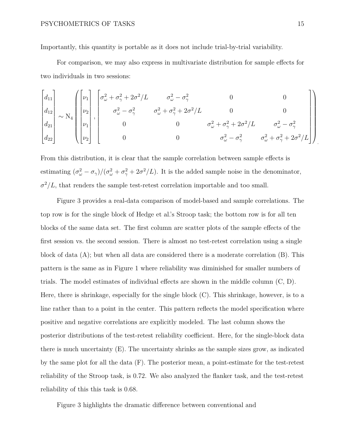Importantly, this quantity is portable as it does not include trial-by-trial variability.

For comparison, we may also express in multivariate distribution for sample effects for two individuals in two sessions:

$$
\begin{bmatrix} d_{11} \\ d_{12} \\ d_{21} \\ d_{22} \end{bmatrix} \sim N_4 \begin{bmatrix} \nu_1 \\ \nu_2 \\ \nu_3 \\ \nu_4 \end{bmatrix}, \begin{bmatrix} \sigma_{\omega}^2 + \sigma_{\gamma}^2 + 2\sigma^2/L & \sigma_{\omega}^2 - \sigma_{\gamma}^2 & 0 & 0 \\ \sigma_{\omega}^2 - \sigma_{\gamma}^2 & \sigma_{\omega}^2 + \sigma_{\gamma}^2 + 2\sigma^2/L & 0 & 0 \\ 0 & 0 & \sigma_{\omega}^2 + \sigma_{\gamma}^2 + 2\sigma^2/L & \sigma_{\omega}^2 - \sigma_{\gamma}^2 \\ 0 & 0 & \sigma_{\omega}^2 + \sigma_{\gamma}^2 & \sigma_{\omega}^2 + \sigma_{\gamma}^2 + 2\sigma^2/L \end{bmatrix}
$$

From this distribution, it is clear that the sample correlation between sample effects is estimating  $(\sigma_{\omega}^2 - \sigma_{\gamma})/(\sigma_{\omega}^2 + \sigma_{\gamma}^2 + 2\sigma^2/L)$ . It is the added sample noise in the denominator,  $\sigma^2/L$ , that renders the sample test-retest correlation importable and too small.

Figure [3](#page-38-0) provides a real-data comparison of model-based and sample correlations. The top row is for the single block of Hedge et al.'s Stroop task; the bottom row is for all ten blocks of the same data set. The first column are scatter plots of the sample effects of the first session vs. the second session. There is almost no test-retest correlation using a single block of data (A); but when all data are considered there is a moderate correlation (B). This pattern is the same as in Figure [1](#page-36-0) where reliability was diminished for smaller numbers of trials. The model estimates of individual effects are shown in the middle column (C, D). Here, there is shrinkage, especially for the single block  $(C)$ . This shrinkage, however, is to a line rather than to a point in the center. This pattern reflects the model specification where positive and negative correlations are explicitly modeled. The last column shows the posterior distributions of the test-retest reliability coefficient. Here, for the single-block data there is much uncertainty (E). The uncertainty shrinks as the sample sizes grow, as indicated by the same plot for all the data (F). The posterior mean, a point-estimate for the test-retest reliability of the Stroop task, is 0.72. We also analyzed the flanker task, and the test-retest reliability of this this task is 0.68.

Figure [3](#page-38-0) highlights the dramatic difference between conventional and

*.*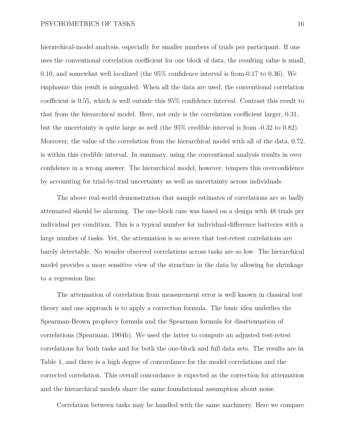hierarchical-model analysis, especially for smaller numbers of trials per participant. If one uses the conventional correlation coefficient for one block of data, the resulting value is small, 0.10, and somewhat well localized (the 95% confidence interval is from-0.17 to 0.36). We emphasize this result is misguided. When all the data are used, the conventional correlation coefficient is 0.55, which is well outside this 95% confidence interval. Contrast this result to that from the hierarchical model. Here, not only is the correlation coefficient larger, 0.31, but the uncertainty is quite large as well (the 95% credible interval is from -0.32 to 0.82). Moreover, the value of the correlation from the hierarchical model with all of the data, 0.72, is within this credible interval. In summary, using the conventional analysis results in over confidence in a wrong answer. The hierarchical model, however, tempers this overconfidence by accounting for trial-by-trial uncertainty as well as uncertainty across individuals.

The above real-world demonstration that sample estimates of correlations are so badly attenuated should be alarming. The one-block case was based on a design with 48 trials per individual per condition. This is a typical number for individual-difference batteries with a large number of tasks. Yet, the attenuation is so severe that test-retest correlations are barely detectable. No wonder observed correlations across tasks are so low. The hierarchical model provides a more sensitive view of the structure in the data by allowing for shrinkage to a regression line.

The attenuation of correlation from measurement error is well known in classical test theory and one approach is to apply a correction formula. The basic idea underlies the Spearman-Brown prophecy formula and the Spearman formula for disattenuation of correlations (Spearman, 1904b). We used the latter to compute an adjusted test-retest correlations for both tasks and for both the one-block and full data sets. The results are in Table [1,](#page-33-0) and there is a high degree of concordance for the model correlations and the corrected correlation. This overall concordance is expected as the correction for attenuation and the hierarchical models share the same foundational assumption about noise.

Correlation between tasks may be handled with the same machinery. Here we compare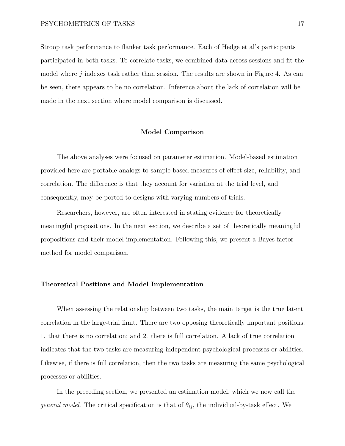Stroop task performance to flanker task performance. Each of Hedge et al's participants participated in both tasks. To correlate tasks, we combined data across sessions and fit the model where *j* indexes task rather than session. The results are shown in Figure [4.](#page-39-0) As can be seen, there appears to be no correlation. Inference about the lack of correlation will be made in the next section where model comparison is discussed.

#### **Model Comparison**

The above analyses were focused on parameter estimation. Model-based estimation provided here are portable analogs to sample-based measures of effect size, reliability, and correlation. The difference is that they account for variation at the trial level, and consequently, may be ported to designs with varying numbers of trials.

Researchers, however, are often interested in stating evidence for theoretically meaningful propositions. In the next section, we describe a set of theoretically meaningful propositions and their model implementation. Following this, we present a Bayes factor method for model comparison.

### **Theoretical Positions and Model Implementation**

When assessing the relationship between two tasks, the main target is the true latent correlation in the large-trial limit. There are two opposing theoretically important positions: 1. that there is no correlation; and 2. there is full correlation. A lack of true correlation indicates that the two tasks are measuring independent psychological processes or abilities. Likewise, if there is full correlation, then the two tasks are measuring the same psychological processes or abilities.

In the preceding section, we presented an estimation model, which we now call the *general model*. The critical specification is that of  $\theta_{ij}$ , the individual-by-task effect. We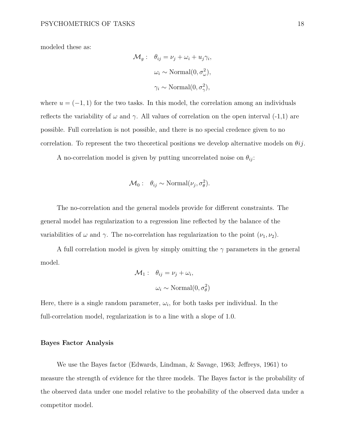modeled these as:

$$
\mathcal{M}_g: \quad \theta_{ij} = \nu_j + \omega_i + u_j \gamma_i,
$$

$$
\omega_i \sim \text{Normal}(0, \sigma_\omega^2),
$$

$$
\gamma_i \sim \text{Normal}(0, \sigma_\gamma^2),
$$

where  $u = (-1, 1)$  for the two tasks. In this model, the correlation among an individuals reflects the variability of  $\omega$  and  $\gamma$ . All values of correlation on the open interval (-1,1) are possible. Full correlation is not possible, and there is no special credence given to no correlation. To represent the two theoretical positions we develop alternative models on *θij*.

A no-correlation model is given by putting uncorrelated noise on  $\theta_{ij}$ :

$$
\mathcal{M}_0: \quad \theta_{ij} \sim \text{Normal}(\nu_j, \sigma_\theta^2).
$$

The no-correlation and the general models provide for different constraints. The general model has regularization to a regression line reflected by the balance of the variabilities of  $\omega$  and  $\gamma$ . The no-correlation has regularization to the point  $(\nu_1, \nu_2)$ .

A full correlation model is given by simply omitting the *γ* parameters in the general model.

$$
\mathcal{M}_1: \quad \theta_{ij} = \nu_j + \omega_i,
$$

$$
\omega_i \sim \text{Normal}(0, \sigma_\theta^2)
$$

Here, there is a single random parameter,  $\omega_i$ , for both tasks per individual. In the full-correlation model, regularization is to a line with a slope of 1.0.

#### **Bayes Factor Analysis**

We use the Bayes factor (Edwards, Lindman, & Savage, 1963; Jeffreys, 1961) to measure the strength of evidence for the three models. The Bayes factor is the probability of the observed data under one model relative to the probability of the observed data under a competitor model.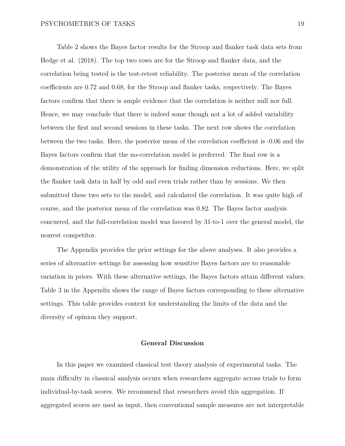Table [2](#page-34-0) shows the Bayes factor results for the Stroop and flanker task data sets from Hedge et al. (2018). The top two rows are for the Stroop and flanker data, and the correlation being tested is the test-retest reliability. The posterior mean of the correlation coefficients are 0.72 and 0.68, for the Stroop and flanker tasks, respectively. The Bayes factors confirm that there is ample evidence that the correlation is neither null nor full. Hence, we may conclude that there is indeed some though not a lot of added variability between the first and second sessions in these tasks. The next row shows the correlation between the two tasks. Here, the posterior mean of the correlation coefficient is -0.06 and the Bayes factors confirm that the no-correlation model is preferred. The final row is a demonstration of the utility of the approach for finding dimension reductions. Here, we split the flanker task data in half by odd and even trials rather than by sessions. We then submitted these two sets to the model, and calculated the correlation. It was quite high of course, and the posterior mean of the correlation was 0.82. The Bayes factor analysis concurred, and the full-correlation model was favored by 31-to-1 over the general model, the nearest competitor.

The Appendix provides the prior settings for the above analyses. It also provides a series of alternative settings for assessing how sensitive Bayes factors are to reasonable variation in priors. With these alternative settings, the Bayes factors attain different values. Table [3](#page-35-0) in the Appendix shows the range of Bayes factors corresponding to these alternative settings. This table provides context for understanding the limits of the data and the diversity of opinion they support.

## **General Discussion**

In this paper we examined classical test theory analysis of experimental tasks. The main difficulty in classical analysis occurs when researchers aggregate across trials to form individual-by-task scores. We recommend that researchers avoid this aggregation. If aggregated scores are used as input, then conventional sample measures are not interpretable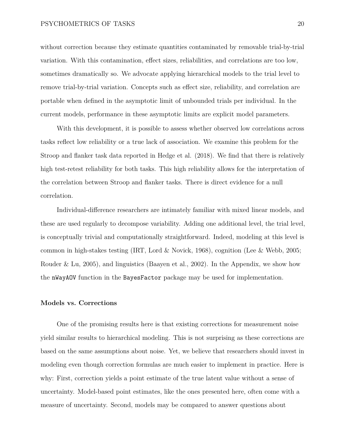without correction because they estimate quantities contaminated by removable trial-by-trial variation. With this contamination, effect sizes, reliabilities, and correlations are too low, sometimes dramatically so. We advocate applying hierarchical models to the trial level to remove trial-by-trial variation. Concepts such as effect size, reliability, and correlation are portable when defined in the asymptotic limit of unbounded trials per individual. In the current models, performance in these asymptotic limits are explicit model parameters.

With this development, it is possible to assess whether observed low correlations across tasks reflect low reliability or a true lack of association. We examine this problem for the Stroop and flanker task data reported in Hedge et al. (2018). We find that there is relatively high test-retest reliability for both tasks. This high reliability allows for the interpretation of the correlation between Stroop and flanker tasks. There is direct evidence for a null correlation.

Individual-difference researchers are intimately familiar with mixed linear models, and these are used regularly to decompose variability. Adding one additional level, the trial level, is conceptually trivial and computationally straightforward. Indeed, modeling at this level is common in high-stakes testing (IRT, Lord & Novick, 1968), cognition (Lee & Webb, 2005; Rouder & Lu, 2005), and linguistics (Baayen et al., 2002). In the Appendix, we show how the nWayAOV function in the BayesFactor package may be used for implementation.

#### **Models vs. Corrections**

One of the promising results here is that existing corrections for measurement noise yield similar results to hierarchical modeling. This is not surprising as these corrections are based on the same assumptions about noise. Yet, we believe that researchers should invest in modeling even though correction formulas are much easier to implement in practice. Here is why: First, correction yields a point estimate of the true latent value without a sense of uncertainty. Model-based point estimates, like the ones presented here, often come with a measure of uncertainty. Second, models may be compared to answer questions about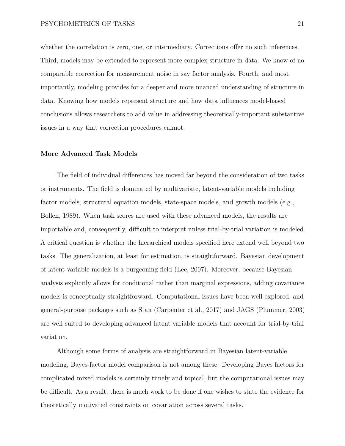whether the correlation is zero, one, or intermediary. Corrections offer no such inferences. Third, models may be extended to represent more complex structure in data. We know of no comparable correction for measurement noise in say factor analysis. Fourth, and most importantly, modeling provides for a deeper and more nuanced understanding of structure in data. Knowing how models represent structure and how data influences model-based conclusions allows researchers to add value in addressing theoretically-important substantive issues in a way that correction procedures cannot.

#### **More Advanced Task Models**

The field of individual differences has moved far beyond the consideration of two tasks or instruments. The field is dominated by multivariate, latent-variable models including factor models, structural equation models, state-space models, and growth models (e.g., Bollen, 1989). When task scores are used with these advanced models, the results are importable and, consequently, difficult to interpret unless trial-by-trial variation is modeled. A critical question is whether the hierarchical models specified here extend well beyond two tasks. The generalization, at least for estimation, is straightforward. Bayesian development of latent variable models is a burgeoning field (Lee, 2007). Moreover, because Bayesian analysis explicitly allows for conditional rather than marginal expressions, adding covariance models is conceptually straightforward. Computational issues have been well explored, and general-purpose packages such as Stan (Carpenter et al., 2017) and JAGS (Plummer, 2003) are well suited to developing advanced latent variable models that account for trial-by-trial variation.

Although some forms of analysis are straightforward in Bayesian latent-variable modeling, Bayes-factor model comparison is not among these. Developing Bayes factors for complicated mixed models is certainly timely and topical, but the computational issues may be difficult. As a result, there is much work to be done if one wishes to state the evidence for theoretically motivated constraints on covariation across several tasks.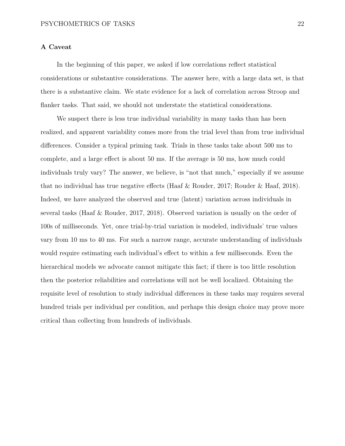# **A Caveat**

In the beginning of this paper, we asked if low correlations reflect statistical considerations or substantive considerations. The answer here, with a large data set, is that there is a substantive claim. We state evidence for a lack of correlation across Stroop and flanker tasks. That said, we should not understate the statistical considerations.

We suspect there is less true individual variability in many tasks than has been realized, and apparent variability comes more from the trial level than from true individual differences. Consider a typical priming task. Trials in these tasks take about 500 ms to complete, and a large effect is about 50 ms. If the average is 50 ms, how much could individuals truly vary? The answer, we believe, is "not that much," especially if we assume that no individual has true negative effects (Haaf & Rouder, 2017; Rouder & Haaf, 2018). Indeed, we have analyzed the observed and true (latent) variation across individuals in several tasks (Haaf & Rouder, 2017, 2018). Observed variation is usually on the order of 100s of milliseconds. Yet, once trial-by-trial variation is modeled, individuals' true values vary from 10 ms to 40 ms. For such a narrow range, accurate understanding of individuals would require estimating each individual's effect to within a few milliseconds. Even the hierarchical models we advocate cannot mitigate this fact; if there is too little resolution then the posterior reliabilities and correlations will not be well localized. Obtaining the requisite level of resolution to study individual differences in these tasks may requires several hundred trials per individual per condition, and perhaps this design choice may prove more critical than collecting from hundreds of individuals.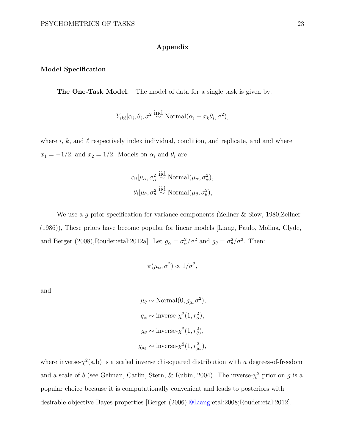# **Appendix**

### **Model Specification**

**The One-Task Model.** The model of data for a single task is given by:

$$
Y_{ik\ell}|\alpha_i, \theta_i, \sigma^2 \stackrel{\text{ind}}{\sim} \text{Normal}(\alpha_i + x_k \theta_i, \sigma^2),
$$

where  $i, k$ , and  $\ell$  respectively index individual, condition, and replicate, and and where  $x_1 = -1/2$ , and  $x_2 = 1/2$ . Models on  $\alpha_i$  and  $\theta_i$  are

$$
\alpha_i | \mu_\alpha, \sigma_\alpha^2 \stackrel{\text{iid}}{\sim} \text{Normal}(\mu_\alpha, \sigma_\alpha^2),
$$
  

$$
\theta_i | \mu_\theta, \sigma_\theta^2 \stackrel{\text{iid}}{\sim} \text{Normal}(\mu_\theta, \sigma_\theta^2),
$$

We use a *g*-prior specification for variance components (Zellner & Siow, 1980,Zellner (1986)), These priors have become popular for linear models [Liang, Paulo, Molina, Clyde, and Berger (2008),Rouder:etal:2012a]. Let  $g_{\alpha} = \sigma_{\alpha}^2/\sigma^2$  and  $g_{\theta} = \sigma_{\theta}^2/\sigma^2$ . Then:

$$
\pi(\mu_\alpha, \sigma^2) \propto 1/\sigma^2,
$$

and

$$
\mu_{\theta} \sim \text{Normal}(0, g_{\mu_{\theta}} \sigma^2),
$$
  
\n $g_{\alpha} \sim \text{inverse-}\chi^2(1, r_{\alpha}^2),$   
\n $g_{\theta} \sim \text{inverse-}\chi^2(1, r_{\theta}^2),$   
\n $g_{\mu_{\theta}} \sim \text{inverse-}\chi^2(1, r_{\mu_{\theta}}^2),$ 

where inverse- $\chi^2(a,b)$  is a scaled inverse chi-squared distribution with *a* degrees-of-freedom and a scale of *b* (see Gelman, Carlin, Stern, & Rubin, 2004). The inverse- $\chi^2$  prior on *g* is a popular choice because it is computationally convenient and leads to posteriors with desirable objective Bayes properties [Berger (2006[\);@Liang:](mailto:;@Liang)etal:2008;Rouder:etal:2012].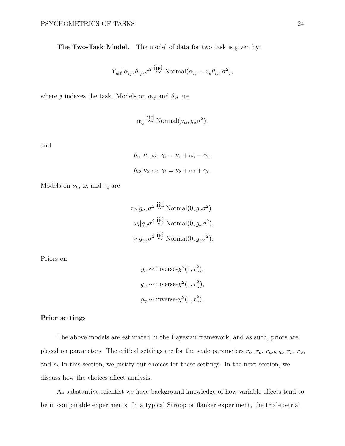**The Two-Task Model.** The model of data for two task is given by:

$$
Y_{ik\ell}|\alpha_{ij}, \theta_{ij}, \sigma^2 \stackrel{\text{ind}}{\sim} \text{Normal}(\alpha_{ij} + x_k \theta_{ij}, \sigma^2),
$$

where *j* indexes the task. Models on  $\alpha_{ij}$  and  $\theta_{ij}$  are

$$
\alpha_{ij} \stackrel{\text{iid}}{\sim} \text{Normal}(\mu_\alpha, g_\alpha \sigma^2),
$$

and

$$
\theta_{i1}|\nu_1, \omega_i, \gamma_i = \nu_1 + \omega_i - \gamma_i,
$$
  

$$
\theta_{i2}|\nu_2, \omega_i, \gamma_i = \nu_2 + \omega_i + \gamma_i.
$$

Models on  $\nu_k$ ,  $\omega_i$  and  $\gamma_i$  are

$$
\nu_k | g_{\nu}, \sigma^2 \stackrel{\text{iid}}{\sim} \text{Normal}(0, g_{\nu} \sigma^2)
$$

$$
\omega_i | g_{\omega} \sigma^2 \stackrel{\text{iid}}{\sim} \text{Normal}(0, g_{\omega} \sigma^2),
$$

$$
\gamma_i | g_{\gamma}, \sigma^2 \stackrel{\text{iid}}{\sim} \text{Normal}(0, g_{\gamma} \sigma^2).
$$

Priors on

$$
g_{\nu} \sim \text{inverse-}\chi^2(1, r_{\nu}^2),
$$
  
\n $g_{\omega} \sim \text{inverse-}\chi^2(1, r_{\omega}^2),$   
\n $g_{\gamma} \sim \text{inverse-}\chi^2(1, r_{\gamma}^2),$ 

#### **Prior settings**

The above models are estimated in the Bayesian framework, and as such, priors are placed on parameters. The critical settings are for the scale parameters  $r_{\alpha}$ ,  $r_{\theta}$ ,  $r_{\mu_1 heta}$ ,  $r_{\nu}$ ,  $r_{\omega}$ , and  $r<sub>\gamma</sub>$  In this section, we justify our choices for these settings. In the next section, we discuss how the choices affect analysis.

As substantive scientist we have background knowledge of how variable effects tend to be in comparable experiments. In a typical Stroop or flanker experiment, the trial-to-trial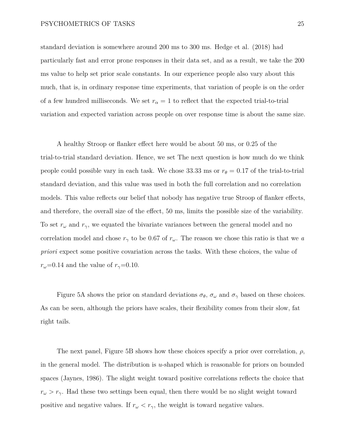#### PSYCHOMETRICS OF TASKS 25

standard deviation is somewhere around 200 ms to 300 ms. Hedge et al. (2018) had particularly fast and error prone responses in their data set, and as a result, we take the 200 ms value to help set prior scale constants. In our experience people also vary about this much, that is, in ordinary response time experiments, that variation of people is on the order of a few hundred milliseconds. We set  $r_\alpha = 1$  to reflect that the expected trial-to-trial variation and expected variation across people on over response time is about the same size.

A healthy Stroop or flanker effect here would be about 50 ms, or 0.25 of the trial-to-trial standard deviation. Hence, we set The next question is how much do we think people could possible vary in each task. We chose 33.33 ms or  $r_{\theta} = 0.17$  of the trial-to-trial standard deviation, and this value was used in both the full correlation and no correlation models. This value reflects our belief that nobody has negative true Stroop of flanker effects, and therefore, the overall size of the effect, 50 ms, limits the possible size of the variability. To set *r<sup>ω</sup>* and *rγ*, we equated the bivariate variances between the general model and no correlation model and chose  $r<sub>\gamma</sub>$  to be 0.67 of  $r<sub>\omega</sub>$ . The reason we chose this ratio is that we *a priori* expect some positive covariation across the tasks. With these choices, the value of  $r_{\omega}$ =0.14 and the value of  $r_{\gamma}$ =0.10.

Figure [5A](#page-40-0) shows the prior on standard deviations  $\sigma_{\theta}$ ,  $\sigma_{\omega}$  and  $\sigma_{\gamma}$  based on these choices. As can be seen, although the priors have scales, their flexibility comes from their slow, fat right tails.

The next panel, Figure [5B](#page-40-0) shows how these choices specify a prior over correlation, *ρ*, in the general model. The distribution is *u*-shaped which is reasonable for priors on bounded spaces (Jaynes, 1986). The slight weight toward positive correlations reflects the choice that  $r_{\omega} > r_{\gamma}$ . Had these two settings been equal, then there would be no slight weight toward positive and negative values. If  $r_{\omega} < r_{\gamma}$ , the weight is toward negative values.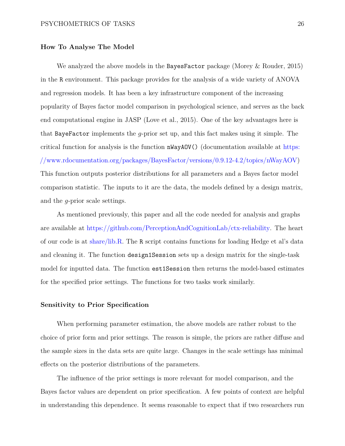#### **How To Analyse The Model**

We analyzed the above models in the BayesFactor package (Morey & Rouder, 2015) in the R environment. This package provides for the analysis of a wide variety of ANOVA and regression models. It has been a key infrastructure component of the increasing popularity of Bayes factor model comparison in psychological science, and serves as the back end computational engine in JASP (Love et al., 2015). One of the key advantages here is that BayeFactor implements the *g*-prior set up, and this fact makes using it simple. The critical function for analysis is the function nWayAOV() (documentation available at [https:](https://www.rdocumentation.org/packages/BayesFactor/versions/0.9.12-4.2/topics/nWayAOV) [//www.rdocumentation.org/packages/BayesFactor/versions/0.9.12-4.2/topics/nWayAOV\)](https://www.rdocumentation.org/packages/BayesFactor/versions/0.9.12-4.2/topics/nWayAOV) This function outputs posterior distributions for all parameters and a Bayes factor model comparison statistic. The inputs to it are the data, the models defined by a design matrix, and the *g*-prior scale settings.

As mentioned previously, this paper and all the code needed for analysis and graphs are available at [https://github.com/PerceptionAndCognitionLab/ctx-reliability.](https://github.com/PerceptionAndCognitionLab/ctx-reliability) The heart of our code is at [share/lib.R.](https://github.com/PerceptionAndCognitionLab/ctx-reliability/blob/public/share/lib.R) The R script contains functions for loading Hedge et al's data and cleaning it. The function design1Session sets up a design matrix for the single-task model for inputted data. The function est1Session then returns the model-based estimates for the specified prior settings. The functions for two tasks work similarly.

### **Sensitivity to Prior Specification**

When performing parameter estimation, the above models are rather robust to the choice of prior form and prior settings. The reason is simple, the priors are rather diffuse and the sample sizes in the data sets are quite large. Changes in the scale settings has minimal effects on the posterior distributions of the parameters.

The influence of the prior settings is more relevant for model comparison, and the Bayes factor values are dependent on prior specification. A few points of context are helpful in understanding this dependence. It seems reasonable to expect that if two researchers run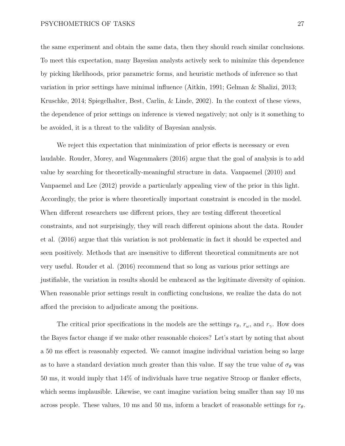the same experiment and obtain the same data, then they should reach similar conclusions. To meet this expectation, many Bayesian analysts actively seek to minimize this dependence by picking likelihoods, prior parametric forms, and heuristic methods of inference so that variation in prior settings have minimal influence (Aitkin, 1991; Gelman & Shalizi, 2013; Kruschke, 2014; Spiegelhalter, Best, Carlin, & Linde, 2002). In the context of these views, the dependence of prior settings on inference is viewed negatively; not only is it something to be avoided, it is a threat to the validity of Bayesian analysis.

We reject this expectation that minimization of prior effects is necessary or even laudable. Rouder, Morey, and Wagenmakers (2016) argue that the goal of analysis is to add value by searching for theoretically-meaningful structure in data. Vanpaemel (2010) and Vanpaemel and Lee (2012) provide a particularly appealing view of the prior in this light. Accordingly, the prior is where theoretically important constraint is encoded in the model. When different researchers use different priors, they are testing different theoretical constraints, and not surprisingly, they will reach different opinions about the data. Rouder et al. (2016) argue that this variation is not problematic in fact it should be expected and seen positively. Methods that are insensitive to different theoretical commitments are not very useful. Rouder et al. (2016) recommend that so long as various prior settings are justifiable, the variation in results should be embraced as the legitimate diversity of opinion. When reasonable prior settings result in conflicting conclusions, we realize the data do not afford the precision to adjudicate among the positions.

The critical prior specifications in the models are the settings  $r_{\theta}$ ,  $r_{\omega}$ , and  $r_{\gamma}$ . How does the Bayes factor change if we make other reasonable choices? Let's start by noting that about a 50 ms effect is reasonably expected. We cannot imagine individual variation being so large as to have a standard deviation much greater than this value. If say the true value of  $\sigma_{\theta}$  was 50 ms, it would imply that 14% of individuals have true negative Stroop or flanker effects, which seems implausible. Likewise, we cant imagine variation being smaller than say 10 ms across people. These values, 10 ms and 50 ms, inform a bracket of reasonable settings for *rθ*.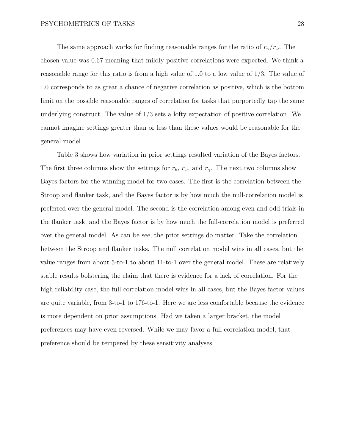The same approach works for finding reasonable ranges for the ratio of  $r_\gamma/r_\omega$ . The chosen value was 0.67 meaning that mildly positive correlations were expected. We think a reasonable range for this ratio is from a high value of 1.0 to a low value of 1/3. The value of 1.0 corresponds to as great a chance of negative correlation as positive, which is the bottom limit on the possible reasonable ranges of correlation for tasks that purportedly tap the same underlying construct. The value of 1/3 sets a lofty expectation of positive correlation. We cannot imagine settings greater than or less than these values would be reasonable for the general model.

Table [3](#page-35-0) shows how variation in prior settings resulted variation of the Bayes factors. The first three columns show the settings for  $r_{\theta}$ ,  $r_{\omega}$ , and  $r_{\gamma}$ . The next two columns show Bayes factors for the winning model for two cases. The first is the correlation between the Stroop and flanker task, and the Bayes factor is by how much the null-correlation model is preferred over the general model. The second is the correlation among even and odd trials in the flanker task, and the Bayes factor is by how much the full-correlation model is preferred over the general model. As can be see, the prior settings do matter. Take the correlation between the Stroop and flanker tasks. The null correlation model wins in all cases, but the value ranges from about 5-to-1 to about 11-to-1 over the general model. These are relatively stable results bolstering the claim that there is evidence for a lack of correlation. For the high reliability case, the full correlation model wins in all cases, but the Bayes factor values are quite variable, from 3-to-1 to 176-to-1. Here we are less comfortable because the evidence is more dependent on prior assumptions. Had we taken a larger bracket, the model preferences may have even reversed. While we may favor a full correlation model, that preference should be tempered by these sensitivity analyses.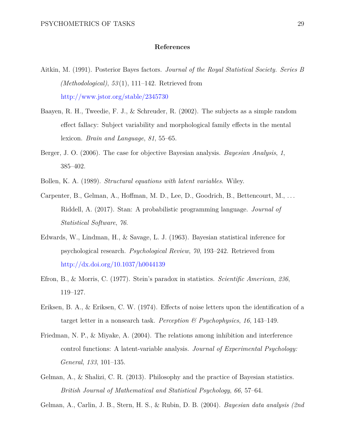## **References**

- Aitkin, M. (1991). Posterior Bayes factors. *Journal of the Royal Statistical Society. Series B (Methodological)*, *53* (1), 111–142. Retrieved from <http://www.jstor.org/stable/2345730>
- Baayen, R. H., Tweedie, F. J., & Schreuder, R. (2002). The subjects as a simple random effect fallacy: Subject variability and morphological family effects in the mental lexicon. *Brain and Language*, *81*, 55–65.
- Berger, J. O. (2006). The case for objective Bayesian analysis. *Bayesian Analysis*, *1*, 385–402.
- Bollen, K. A. (1989). *Structural equations with latent variables*. Wiley.
- Carpenter, B., Gelman, A., Hoffman, M. D., Lee, D., Goodrich, B., Bettencourt, M., . . . Riddell, A. (2017). Stan: A probabilistic programming language. *Journal of Statistical Software*, *76*.
- Edwards, W., Lindman, H., & Savage, L. J. (1963). Bayesian statistical inference for psychological research. *Psychological Review*, *70*, 193–242. Retrieved from <http://dx.doi.org/10.1037/h0044139>
- Efron, B., & Morris, C. (1977). Stein's paradox in statistics. *Scientific American*, *236*, 119–127.
- Eriksen, B. A., & Eriksen, C. W. (1974). Effects of noise letters upon the identification of a target letter in a nonsearch task. *Perception & Psychophysics*, *16*, 143–149.
- Friedman, N. P., & Miyake, A. (2004). The relations among inhibition and interference control functions: A latent-variable analysis. *Journal of Experimental Psychology: General*, *133*, 101–135.
- Gelman, A., & Shalizi, C. R. (2013). Philosophy and the practice of Bayesian statistics. *British Journal of Mathematical and Statistical Psychology*, *66*, 57–64.

Gelman, A., Carlin, J. B., Stern, H. S., & Rubin, D. B. (2004). *Bayesian data analysis (2nd*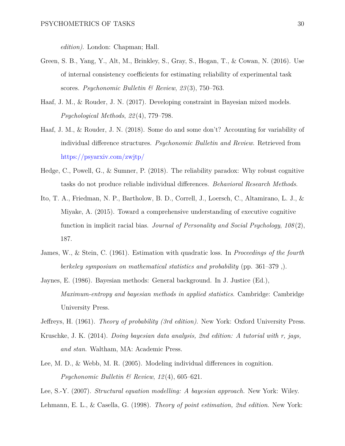*edition)*. London: Chapman; Hall.

- Green, S. B., Yang, Y., Alt, M., Brinkley, S., Gray, S., Hogan, T., & Cowan, N. (2016). Use of internal consistency coefficients for estimating reliability of experimental task scores. *Psychonomic Bulletin & Review*, *23* (3), 750–763.
- Haaf, J. M., & Rouder, J. N. (2017). Developing constraint in Bayesian mixed models. *Psychological Methods*, *22* (4), 779–798.
- Haaf, J. M., & Rouder, J. N. (2018). Some do and some don't? Accounting for variability of individual difference structures. *Psychonomic Bulletin and Review*. Retrieved from <https://psyarxiv.com/zwjtp/>
- Hedge, C., Powell, G., & Sumner, P. (2018). The reliability paradox: Why robust cognitive tasks do not produce reliable individual differences. *Behavioral Research Methods*.
- Ito, T. A., Friedman, N. P., Bartholow, B. D., Correll, J., Loersch, C., Altamirano, L. J., & Miyake, A. (2015). Toward a comprehensive understanding of executive cognitive function in implicit racial bias. *Journal of Personality and Social Psychology*, *108* (2), 187.
- James, W., & Stein, C. (1961). Estimation with quadratic loss. In *Proceedings of the fourth berkeley symposium on mathematical statistics and probability* (pp. 361–379 ,).
- Jaynes, E. (1986). Bayesian methods: General background. In J. Justice (Ed.), *Maximum-entropy and bayesian methods in applied statistics*. Cambridge: Cambridge University Press.
- Jeffreys, H. (1961). *Theory of probability (3rd edition)*. New York: Oxford University Press.
- Kruschke, J. K. (2014). *Doing bayesian data analysis, 2nd edition: A tutorial with r, jags, and stan*. Waltham, MA: Academic Press.
- Lee, M. D., & Webb, M. R. (2005). Modeling individual differences in cognition. *Psychonomic Bulletin & Review*, *12* (4), 605–621.
- Lee, S.-Y. (2007). *Structural equation modelling: A bayesian approach.* New York: Wiley.
- Lehmann, E. L., & Casella, G. (1998). *Theory of point estimation, 2nd edition*. New York: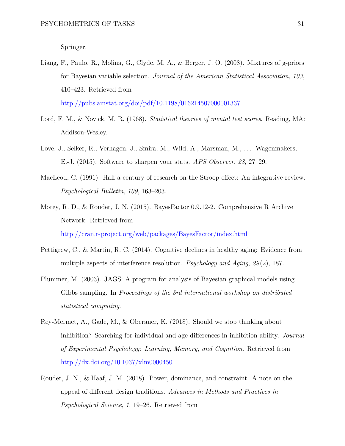Springer.

- Liang, F., Paulo, R., Molina, G., Clyde, M. A., & Berger, J. O. (2008). Mixtures of g-priors for Bayesian variable selection. *Journal of the American Statistical Association*, *103*, 410–423. Retrieved from <http://pubs.amstat.org/doi/pdf/10.1198/016214507000001337>
- Lord, F. M., & Novick, M. R. (1968). *Statistical theories of mental test scores*. Reading, MA: Addison-Wesley.
- Love, J., Selker, R., Verhagen, J., Smira, M., Wild, A., Marsman, M., ... Wagenmakers, E.-J. (2015). Software to sharpen your stats. *APS Observer*, *28*, 27–29.
- MacLeod, C. (1991). Half a century of research on the Stroop effect: An integrative review. *Psychological Bulletin*, *109*, 163–203.
- Morey, R. D., & Rouder, J. N. (2015). BayesFactor 0.9.12-2. Comprehensive R Archive Network. Retrieved from <http://cran.r-project.org/web/packages/BayesFactor/index.html>
- Pettigrew, C., & Martin, R. C. (2014). Cognitive declines in healthy aging: Evidence from multiple aspects of interference resolution. *Psychology and Aging*, *29* (2), 187.
- Plummer, M. (2003). JAGS: A program for analysis of Bayesian graphical models using Gibbs sampling. In *Proceedings of the 3rd international workshop on distributed statistical computing*.
- Rey-Mermet, A., Gade, M., & Oberauer, K. (2018). Should we stop thinking about inhibition? Searching for individual and age differences in inhibition ability. *Journal of Experimental Psychology: Learning, Memory, and Cognition*. Retrieved from <http://dx.doi.org/10.1037/xlm0000450>
- Rouder, J. N., & Haaf, J. M. (2018). Power, dominance, and constraint: A note on the appeal of different design traditions. *Advances in Methods and Practices in Psychological Science*, *1*, 19–26. Retrieved from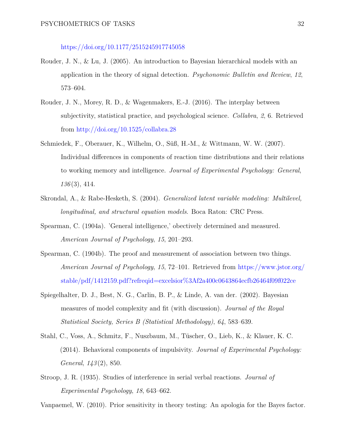## <https://doi.org/10.1177/2515245917745058>

- Rouder, J. N., & Lu, J. (2005). An introduction to Bayesian hierarchical models with an application in the theory of signal detection. *Psychonomic Bulletin and Review*, *12*, 573–604.
- Rouder, J. N., Morey, R. D., & Wagenmakers, E.-J. (2016). The interplay between subjectivity, statistical practice, and psychological science. *Collabra*, *2*, 6. Retrieved from <http://doi.org/10.1525/collabra.28>
- Schmiedek, F., Oberauer, K., Wilhelm, O., Süß, H.-M., & Wittmann, W. W. (2007). Individual differences in components of reaction time distributions and their relations to working memory and intelligence. *Journal of Experimental Psychology: General*, *136* (3), 414.
- Skrondal, A., & Rabe-Hesketh, S. (2004). *Generalized latent variable modeling: Multilevel, longitudinal, and structural equation models*. Boca Raton: CRC Press.
- Spearman, C. (1904a). 'General intelligence,' obectively determined and measured. *American Journal of Psychology*, *15*, 201–293.
- Spearman, C. (1904b). The proof and measurement of association between two things. *American Journal of Psychology*, *15*, 72–101. Retrieved from [https://www.jstor.org/](https://www.jstor.org/stable/pdf/1412159.pdf?refreqid=excelsior%3Af2a400c0643864ecfb26464f09f022ce) [stable/pdf/1412159.pdf?refreqid=excelsior%3Af2a400c0643864ecfb26464f09f022ce](https://www.jstor.org/stable/pdf/1412159.pdf?refreqid=excelsior%3Af2a400c0643864ecfb26464f09f022ce)
- Spiegelhalter, D. J., Best, N. G., Carlin, B. P., & Linde, A. van der. (2002). Bayesian measures of model complexity and fit (with discussion). *Journal of the Royal Statistical Society, Series B (Statistical Methodology)*, *64*, 583–639.
- Stahl, C., Voss, A., Schmitz, F., Nuszbaum, M., Tüscher, O., Lieb, K., & Klauer, K. C. (2014). Behavioral components of impulsivity. *Journal of Experimental Psychology: General*, *143* (2), 850.
- Stroop, J. R. (1935). Studies of interference in serial verbal reactions. *Journal of Experimental Psychology*, *18*, 643–662.

Vanpaemel, W. (2010). Prior sensitivity in theory testing: An apologia for the Bayes factor.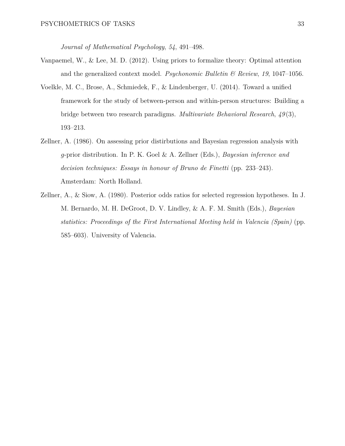*Journal of Mathematical Psychology*, *54*, 491–498.

- Vanpaemel, W., & Lee, M. D. (2012). Using priors to formalize theory: Optimal attention and the generalized context model. *Psychonomic Bulletin & Review*, *19*, 1047–1056.
- Voelkle, M. C., Brose, A., Schmiedek, F., & Lindenberger, U. (2014). Toward a unified framework for the study of between-person and within-person structures: Building a bridge between two research paradigms. *Multivariate Behavioral Research*, *49* (3), 193–213.
- Zellner, A. (1986). On assessing prior distirbutions and Bayesian regression analysis with *g*-prior distribution. In P. K. Goel & A. Zellner (Eds.), *Bayesian inference and decision techniques: Essays in honour of Bruno de Finetti* (pp. 233–243). Amsterdam: North Holland.
- Zellner, A., & Siow, A. (1980). Posterior odds ratios for selected regression hypotheses. In J. M. Bernardo, M. H. DeGroot, D. V. Lindley, & A. F. M. Smith (Eds.), *Bayesian statistics: Proceedings of the First International Meeting held in Valencia (Spain)* (pp. 585–603). University of Valencia.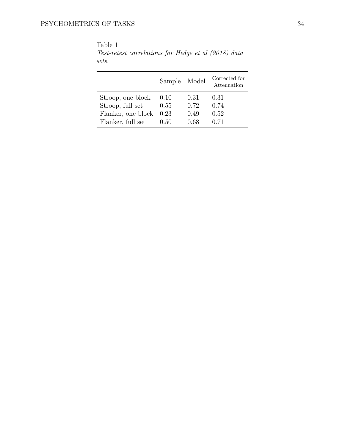|                    | Sample Model |      | Corrected for<br>Attenuation |
|--------------------|--------------|------|------------------------------|
| Stroop, one block  | 0.10         | 0.31 | 0.31                         |
| Stroop, full set   | 0.55         | 0.72 | 0.74                         |
| Flanker, one block | 0.23         | 0.49 | 0.52                         |
| Flanker, full set  | 0.50         | 0.68 | 0.71                         |

<span id="page-33-0"></span>Table 1 *Test-retest correlations for Hedge et al (2018) data sets.*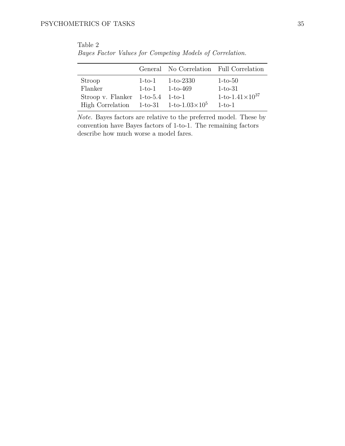|                                                    |          |                      | General No Correlation Full Correlation |
|----------------------------------------------------|----------|----------------------|-----------------------------------------|
| Stroop                                             |          | $1-to-1$ $1-to-2330$ | $1-to-50$                               |
| Flanker                                            | $1-to-1$ | 1-to-469             | $1-to-31$                               |
| Stroop v. Flanker $1-to-5.4$ 1-to-1                |          |                      | 1-to-1.41 $\times$ 10 <sup>37</sup>     |
| High Correlation $1-to-31$ $1-to-1.03 \times 10^5$ |          |                      | $1-t$ o-1                               |

<span id="page-34-0"></span>Table 2 *Bayes Factor Values for Competing Models of Correlation.*

*Note.* Bayes factors are relative to the preferred model. These by convention have Bayes factors of 1-to-1. The remaining factors describe how much worse a model fares.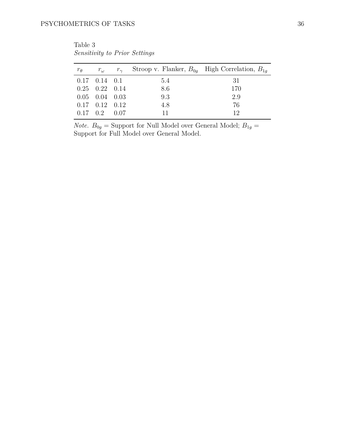<span id="page-35-0"></span>Table 3 *Sensitivity to Prior Settings*

| $r_{\theta}$ | $r_\omega$                   | $r_{\gamma}$ Stroop v. Flanker, $B_{0q}$ High Correlation, $B_{1q}$ |     |
|--------------|------------------------------|---------------------------------------------------------------------|-----|
|              | $0.17$ $0.14$ $0.1$          | 5.4                                                                 | -31 |
|              | $0.25$ $0.22$ $0.14$         | 8.6                                                                 | 170 |
|              | $0.05$ $0.04$ $0.03$         | 9.3                                                                 | 2.9 |
|              | $0.17 \quad 0.12 \quad 0.12$ | 4.8                                                                 | 76  |
|              | $0.17 \quad 0.2 \quad 0.07$  | 11                                                                  | 12  |

*Note.*  $B_{0g}$  = Support for Null Model over General Model;  $B_{1g}$  = Support for Full Model over General Model.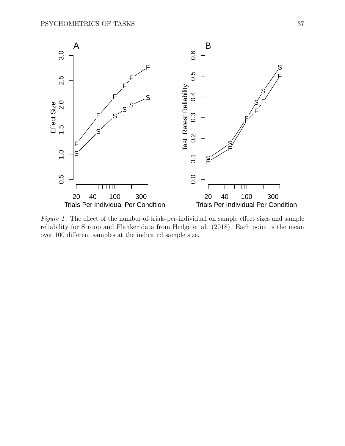<span id="page-36-0"></span>

*Figure 1* . The effect of the number-of-trials-per-individual on sample effect sizes and sample reliability for Stroop and Flanker data from Hedge et al. (2018). Each point is the mean over 100 different samples at the indicated sample size.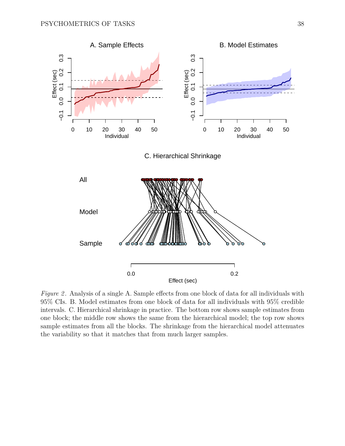<span id="page-37-0"></span>

*Figure 2.* Analysis of a single A. Sample effects from one block of data for all individuals with 95% CIs. B. Model estimates from one block of data for all individuals with 95% credible intervals. C. Hierarchical shrinkage in practice. The bottom row shows sample estimates from one block; the middle row shows the same from the hierarchical model; the top row shows sample estimates from all the blocks. The shrinkage from the hierarchical model attenuates the variability so that it matches that from much larger samples.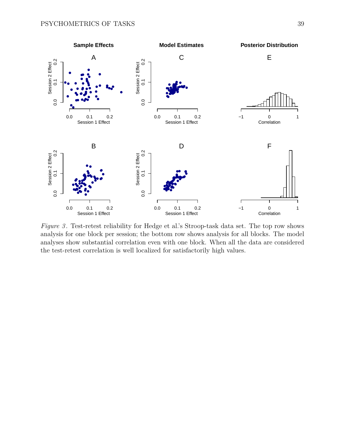<span id="page-38-0"></span>

*Figure 3* . Test-retest reliability for Hedge et al.'s Stroop-task data set. The top row shows analysis for one block per session; the bottom row shows analysis for all blocks. The model analyses show substantial correlation even with one block. When all the data are considered the test-retest correlation is well localized for satisfactorily high values.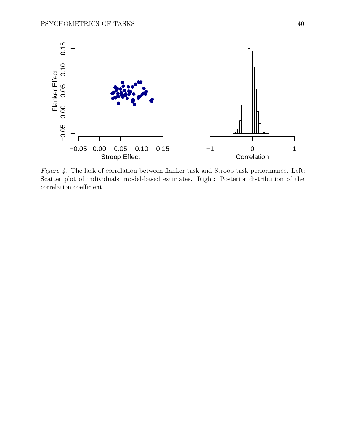<span id="page-39-0"></span>

*Figure 4* . The lack of correlation between flanker task and Stroop task performance. Left: Scatter plot of individuals' model-based estimates. Right: Posterior distribution of the correlation coefficient.